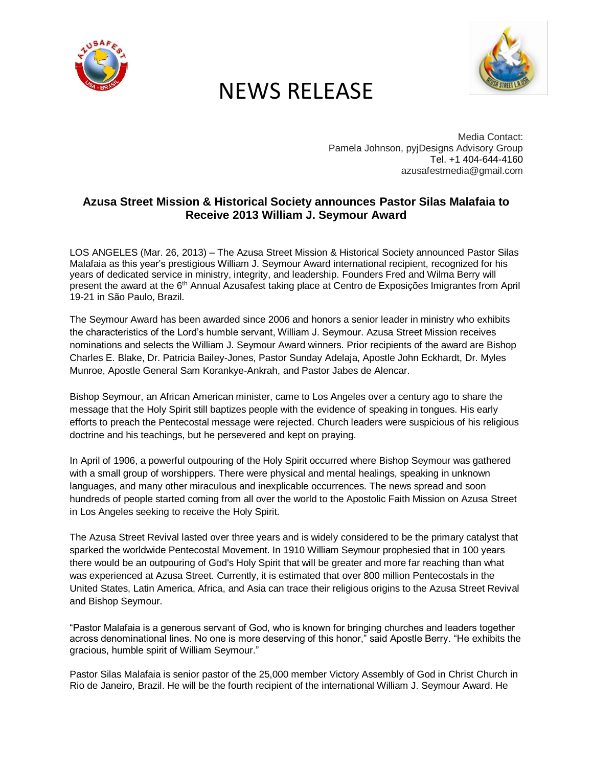

## NEWS RELEASE



Media Contact: Pamela Johnson, pyjDesigns Advisory Group Tel[. +1 404-644-4160](tel:+1%20404-644-4160) azusafestmedia@gmail.com

## **Azusa Street Mission & Historical Society announces Pastor Silas Malafaia to Receive 2013 William J. Seymour Award**

LOS ANGELES (Mar. 26, 2013) – The Azusa Street Mission & Historical Society announced Pastor Silas Malafaia as this year's prestigious William J. Seymour Award international recipient, recognized for his years of dedicated service in ministry, integrity, and leadership. Founders Fred and Wilma Berry will present the award at the 6th Annual Azusafest taking place at Centro de Exposições Imigrantes from April 19-21 in São Paulo, Brazil.

The Seymour Award has been awarded since 2006 and honors a senior leader in ministry who exhibits the characteristics of the Lord's humble servant, William J. Seymour. Azusa Street Mission receives nominations and selects the William J. Seymour Award winners. Prior recipients of the award are Bishop Charles E. Blake, Dr. Patricia Bailey-Jones, Pastor Sunday Adelaja, Apostle John Eckhardt, Dr. Myles Munroe, Apostle General Sam Korankye-Ankrah, and Pastor Jabes de Alencar.

Bishop Seymour, an African American minister, came to Los Angeles over a century ago to share the message that the Holy Spirit still baptizes people with the evidence of speaking in tongues. His early efforts to preach the Pentecostal message were rejected. Church leaders were suspicious of his religious doctrine and his teachings, but he persevered and kept on praying.

In April of 1906, a powerful outpouring of the Holy Spirit occurred where Bishop Seymour was gathered with a small group of worshippers. There were physical and mental healings, speaking in unknown languages, and many other miraculous and inexplicable occurrences. The news spread and soon hundreds of people started coming from all over the world to the Apostolic Faith Mission on Azusa Street in Los Angeles seeking to receive the Holy Spirit.

The Azusa Street Revival lasted over three years and is widely considered to be the primary catalyst that sparked the worldwide Pentecostal Movement. In 1910 William Seymour prophesied that in 100 years there would be an outpouring of God's Holy Spirit that will be greater and more far reaching than what was experienced at Azusa Street. Currently, it is estimated that over 800 million Pentecostals in the United States, Latin America, Africa, and Asia can trace their religious origins to the Azusa Street Revival and Bishop Seymour.

"Pastor Malafaia is a generous servant of God, who is known for bringing churches and leaders together across denominational lines. No one is more deserving of this honor," said Apostle Berry. "He exhibits the gracious, humble spirit of William Seymour."

Pastor Silas Malafaia is senior pastor of the 25,000 member Victory Assembly of God in Christ Church in Rio de Janeiro, Brazil. He will be the fourth recipient of the international William J. Seymour Award. He